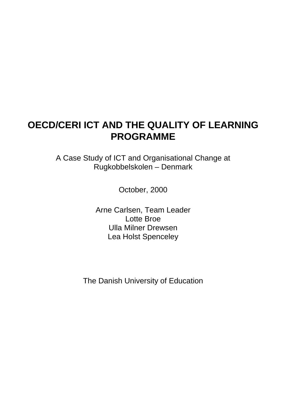## **OECD/CERI ICT AND THE QUALITY OF LEARNING PROGRAMME**

A Case Study of ICT and Organisational Change at Rugkobbelskolen – Denmark

October, 2000

Arne Carlsen, Team Leader Lotte Broe Ulla Milner Drewsen Lea Holst Spenceley

The Danish University of Education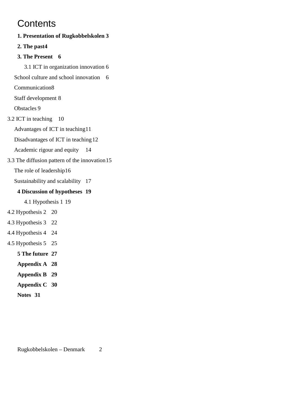## **Contents**

**1. Presentation of Rugkobbelskolen 3 2. The past4 3. The Present 6** 3.1 ICT in organization innovation 6 School culture and school innovation 6 Communication8 Staff development 8 Obstacles 9 3.2 ICT in teaching 10 Advantages of ICT in teaching11 Disadvantages of ICT in teaching12 Academic rigour and equity 14 3.3 The diffusion pattern of the innovation15 The role of leadership16 Sustainability and scalability 17 **4 Discussion of hypotheses 19** 4.1 Hypothesis 1 19 4.2 Hypothesis 2 20 4.3 Hypothesis 3 22 4.4 Hypothesis 4 24 4.5 Hypothesis 5 25 **5 The future 27 Appendix A 28 Appendix B 29 Appendix C 30 Notes 31**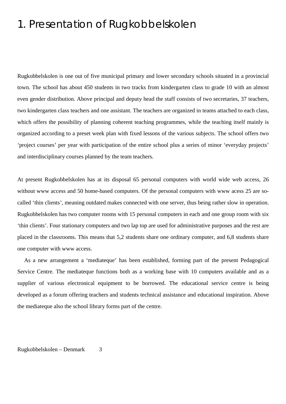## 1. Presentation of Rugkobbelskolen

Rugkobbelskolen is one out of five municipal primary and lower secondary schools situated in a provincial town. The school has about 450 students in two tracks from kindergarten class to grade 10 with an almost even gender distribution. Above principal and deputy head the staff consists of two secretaries, 37 teachers, two kindergarten class teachers and one assistant. The teachers are organized in teams attached to each class, which offers the possibility of planning coherent teaching programmes, while the teaching itself mainly is organized according to a preset week plan with fixed lessons of the various subjects. The school offers two 'project courses' per year with participation of the entire school plus a series of minor 'everyday projects' and interdisciplinary courses planned by the team teachers.

At present Rugkobbelskolen has at its disposal 65 personal computers with world wide web access, 26 without www access and 50 home-based computers. Of the personal computers with www acess 25 are socalled 'thin clients', meaning outdated makes connected with one server, thus being rather slow in operation. Rugkobbelskolen has two computer rooms with 15 personal computers in each and one group room with six 'thin clients'. Four stationary computers and two lap top are used for administrative purposes and the rest are placed in the classrooms. This means that 5,2 students share one ordinary computer, and 6,8 students share one computer with www access.

As a new arrangement a 'mediateque' has been established, forming part of the present Pedagogical Service Centre. The mediateque functions both as a working base with 10 computers available and as a supplier of various electronical equipment to be borrowed. The educational service centre is being developed as a forum offering teachers and students technical assistance and educational inspiration. Above the mediateque also the school library forms part of the centre.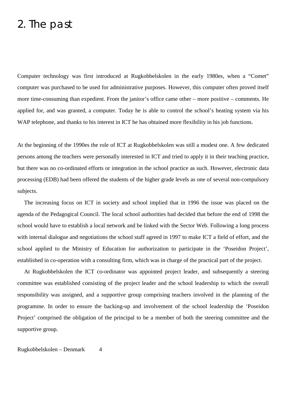## 2. The past

Computer technology was first introduced at Rugkobbelskolen in the early 1980es, when a "Comet" computer was purchased to be used for administrative purposes. However, this computer often proved itself more time-consuming than expedient. From the janitor's office came other – more positive – comments. He applied for, and was granted, a computer. Today he is able to control the school's heating system via his WAP telephone, and thanks to his interest in ICT he has obtained more flexibility in his job functions.

At the beginning of the 1990es the role of ICT at Rugkobbelskolen was still a modest one. A few dedicated persons among the teachers were personally interested in ICT and tried to apply it in their teaching practice, but there was no co-ordinated efforts or integration in the school practice as such. However, electronic data processing (EDB) had been offered the students of the higher grade levels as one of several non-compulsory subjects.

The increasing focus on ICT in society and school implied that in 1996 the issue was placed on the agenda of the Pedagogical Council. The local school authorities had decided that before the end of 1998 the school would have to establish a local network and be linked with the Sector Web. Following a long process with internal dialogue and negotiations the school staff agreed in 1997 to make ICT a field of effort, and the school applied to the Ministry of Education for authorization to participate in the 'Poseidon Project', established in co-operation with a consulting firm, which was in charge of the practical part of the project.

At Rugkobbelskolen the ICT co-ordinator was appointed project leader, and subsequently a steering committee was established consisting of the project leader and the school leadership to which the overall responsibility was assigned, and a supportive group comprising teachers involved in the planning of the programme. In order to ensure the backing-up and involvement of the school leadership the 'Poseidon Project' comprised the obligation of the principal to be a member of both the steering committee and the supportive group.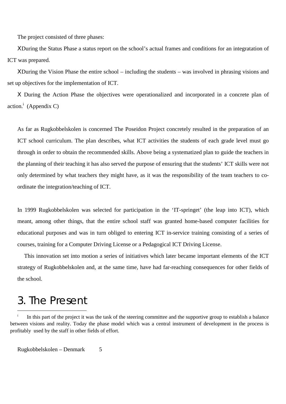The project consisted of three phases:

ΧDuring the Status Phase a status report on the school's actual frames and conditions for an integratation of ICT was prepared.

ΧDuring the Vision Phase the entire school – including the students – was involved in phrasing visions and set up objectives for the implementation of ICT.

Χ During the Action Phase the objectives were operationalized and incorporated in a concrete plan of action.<sup>i</sup> (Appendix C)

As far as Rugkobbelskolen is concerned The Poseidon Project concretely resulted in the preparation of an ICT school curriculum. The plan describes, what ICT activities the students of each grade level must go through in order to obtain the recommended skills. Above being a systematized plan to guide the teachers in the planning of their teaching it has also served the purpose of ensuring that the students' ICT skills were not only determined by what teachers they might have, as it was the responsibility of the team teachers to coordinate the integration/teaching of ICT.

In 1999 Rugkobbelskolen was selected for participation in the 'IT-springet' (the leap into ICT), which meant, among other things, that the entire school staff was granted home-based computer facilities for educational purposes and was in turn obliged to entering ICT in-service training consisting of a series of courses, training for a Computer Driving License or a Pedagogical ICT Driving License.

This innovation set into motion a series of initiatives which later became important elements of the ICT strategy of Rugkobbelskolen and, at the same time, have had far-reaching consequences for other fields of the school.

## 3. The Present

 $\overline{a}$ 

In this part of the project it was the task of the steering committee and the supportive group to establish a balance between visions and reality. Today the phase model which was a central instrument of development in the process is profitably used by the staff in other fields of effort.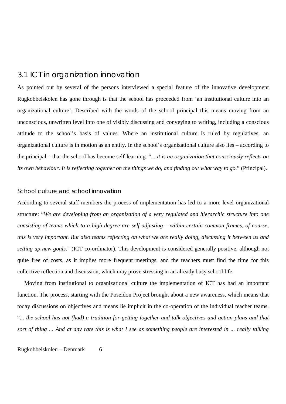### 3.1 ICT in organization innovation

As pointed out by several of the persons interviewed a special feature of the innovative development Rugkobbelskolen has gone through is that the school has proceeded from 'an institutional culture into an organizational culture'. Described with the words of the school principal this means moving from an unconscious, unwritten level into one of visibly discussing and conveying to writing, including a conscious attitude to the school's basis of values. Where an institutional culture is ruled by regulatives, an organizational culture is in motion as an entity. In the school's organizational culture also lies – according to the principal – that the school has become self-learning. "... *it is an organization that consciously reflects on its own behaviour. It is reflecting together on the things we do, and finding out what way to go.*" (Principal).

#### School culture and school innovation

According to several staff members the process of implementation has led to a more level organizational structure: "*We are developing from an organization of a very regulated and hierarchic structure into one consisting of teams which to a high degree are self-adjusting – within certain common frames, of course, this is very important. But also teams reflecting on what we are really doing, discussing it between us and setting up new goals*." (ICT co-ordinator). This development is considered generally positive, although not quite free of costs, as it implies more frequent meetings, and the teachers must find the time for this collective reflection and discussion, which may prove stressing in an already busy school life.

Moving from institutional to organizational culture the implementation of ICT has had an important function. The process, starting with the Poseidon Project brought about a new awareness, which means that today discussions on objectives and means lie implicit in the co-operation of the individual teacher teams. "*... the school has not (had) a tradition for getting together and talk objectives and action plans and that sort of thing ... And at any rate this is what I see as something people are interested in ... really talking*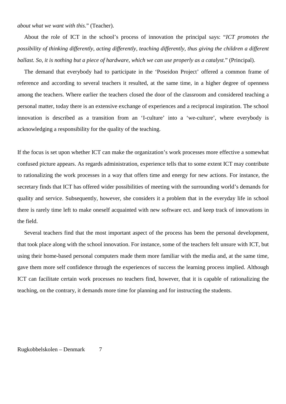*about what we want with this.*" (Teacher).

About the role of ICT in the school's process of innovation the principal says: "*ICT promotes the possibility of thinking differently, acting differently, teaching differently, thus giving the children a different ballast. So, it is nothing but a piece of hardware, which we can use properly as a catalyst.*" (Principal).

The demand that everybody had to participate in the 'Poseidon Project' offered a common frame of reference and according to several teachers it resulted, at the same time, in a higher degree of openness among the teachers. Where earlier the teachers closed the door of the classroom and considered teaching a personal matter, today there is an extensive exchange of experiences and a reciprocal inspiration. The school innovation is described as a transition from an 'I-culture' into a 'we-culture', where everybody is acknowledging a responsibility for the quality of the teaching.

If the focus is set upon whether ICT can make the organization's work processes more effective a somewhat confused picture appears. As regards administration, experience tells that to some extent ICT may contribute to rationalizing the work processes in a way that offers time and energy for new actions. For instance, the secretary finds that ICT has offered wider possibilities of meeting with the surrounding world's demands for quality and service. Subsequently, however, she considers it a problem that in the everyday life in school there is rarely time left to make oneself acquainted with new software ect. and keep track of innovations in the field.

Several teachers find that the most important aspect of the process has been the personal development, that took place along with the school innovation. For instance, some of the teachers felt unsure with ICT, but using their home-based personal computers made them more familiar with the media and, at the same time, gave them more self confidence through the experiences of success the learning process implied. Although ICT can facilitate certain work processes no teachers find, however, that it is capable of rationalizing the teaching, on the contrary, it demands more time for planning and for instructing the students.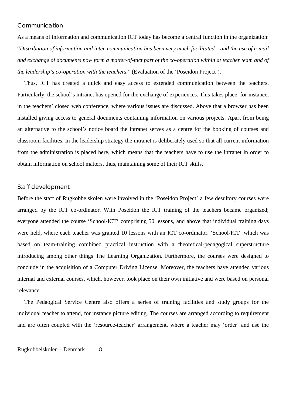### Communication

As a means of information and communication ICT today has become a central function in the organization: "*Distribution of information and inter-communication has been very much facilitated – and the use of e-mail and exchange of documents now form a matter-of-fact part of the co-operation within at teacher team and of the leadership's co-operation with the teachers.*" (Evaluation of the 'Poseidon Project').

Thus, ICT has created a quick and easy access to extended communication between the teachers. Particularly, the school's intranet has opened for the exchange of experiences. This takes place, for instance, in the teachers' closed web conference, where various issues are discussed. Above that a browser has been installed giving access to general documents containing information on various projects. Apart from being an alternative to the school's notice board the intranet serves as a centre for the booking of courses and classroom facilities. In the leadership strategy the intranet is deliberately used so that all current information from the administration is placed here, which means that the teachers have to use the intranet in order to obtain information on school matters, thus, maintaining some of their ICT skills.

#### Staff development

Before the staff of Rugkobbelskolen were involved in the 'Poseidon Project' a few desultory courses were arranged by the ICT co-ordinator. With Poseidon the ICT training of the teachers became organized; everyone attended the course 'School-ICT' comprising 50 lessons, and above that individual training days were held, where each teacher was granted 10 lessons with an ICT co-ordinator. 'School-ICT' which was based on team-training combined practical instruction with a theoretical-pedagogical superstructure introducing among other things The Learning Organization. Furthermore, the courses were designed to conclude in the acquisition of a Computer Driving License. Moreover, the teachers have attended various internal and external courses, which, however, took place on their own initiative and were based on personal relevance.

The Pedaogical Service Centre also offers a series of training facilities and study groups for the individual teacher to attend, for instance picture editing. The courses are arranged according to requirement and are often coupled with the 'resource-teacher' arrangement, where a teacher may 'order' and use the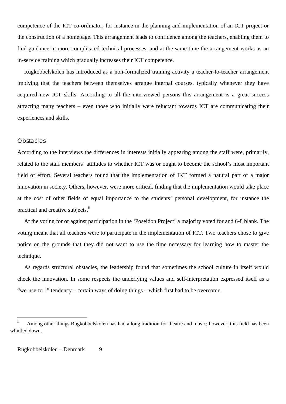competence of the ICT co-ordinator, for instance in the planning and implementation of an ICT project or the construction of a homepage. This arrangement leads to confidence among the teachers, enabling them to find guidance in more complicated technical processes, and at the same time the arrangement works as an in-service training which gradually increases their ICT competence.

Rugkobbelskolen has introduced as a non-formalized training activity a teacher-to-teacher arrangement implying that the teachers between themselves arrange internal courses, typically whenever they have acquired new ICT skills. According to all the interviewed persons this arrangement is a great success attracting many teachers – even those who initially were reluctant towards ICT are communicating their experiences and skills.

#### **Obstacles**

According to the interviews the differences in interests initially appearing among the staff were, primarily, related to the staff members' attitudes to whether ICT was or ought to become the school's most important field of effort. Several teachers found that the implementation of IKT formed a natural part of a major innovation in society. Others, however, were more critical, finding that the implementation would take place at the cost of other fields of equal importance to the students' personal development, for instance the practical and creative subjects.<sup>ii</sup>

At the voting for or against participation in the 'Poseidon Project' a majority voted for and 6-8 blank. The voting meant that all teachers were to participate in the implementation of ICT. Two teachers chose to give notice on the grounds that they did not want to use the time necessary for learning how to master the technique.

As regards structural obstacles, the leadership found that sometimes the school culture in itself would check the innovation. In some respects the underlying values and self-interpretation expressed itself as a "we-use-to..." tendency – certain ways of doing things – which first had to be overcome.

 $\mathbf{ii}$ Among other things Rugkobbelskolen has had a long tradition for theatre and music; however, this field has been whittled down.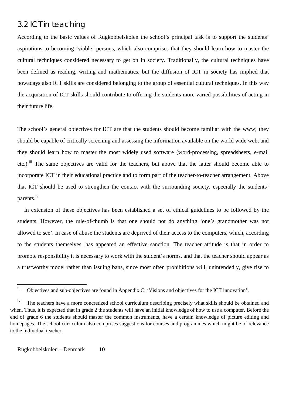### 3.2 ICT in teaching

According to the basic values of Rugkobbelskolen the school's principal task is to support the students' aspirations to becoming 'viable' persons, which also comprises that they should learn how to master the cultural techniques considered necessary to get on in society. Traditionally, the cultural techniques have been defined as reading, writing and mathematics, but the diffusion of ICT in society has implied that nowadays also ICT skills are considered belonging to the group of essential cultural techniques. In this way the acquisition of ICT skills should contribute to offering the students more varied possibilities of acting in their future life.

The school's general objectives for ICT are that the students should become familiar with the www; they should be capable of critically screening and assessing the information available on the world wide web, and they should learn how to master the most widely used software (word-processing, spreadsheets, e-mail etc.).<sup>iii</sup> The same objectives are valid for the teachers, but above that the latter should become able to incorporate ICT in their educational practice and to form part of the teacher-to-teacher arrangement. Above that ICT should be used to strengthen the contact with the surrounding society, especially the students' parents.<sup>iv</sup>

In extension of these objectives has been established a set of ethical guidelines to be followed by the students. However, the rule-of-thumb is that one should not do anything 'one's grandmother was not allowed to see'. In case of abuse the students are deprived of their access to the computers, which, according to the students themselves, has appeared an effective sanction. The teacher attitude is that in order to promote responsibility it is necessary to work with the student's norms, and that the teacher should appear as a trustworthy model rather than issuing bans, since most often prohibitions will, unintendedly, give rise to

iii Objectives and sub-objectives are found in Appendix C: 'Visions and objectives for the ICT innovation'.

<sup>&</sup>lt;sup>iv</sup> The teachers have a more concretized school curriculum describing precisely what skills should be obtained and when. Thus, it is expected that in grade 2 the students will have an initial knowledge of how to use a computer. Before the end of grade 6 the students should master the common instruments, have a certain knowledge of picture editing and homepages. The school curriculum also comprises suggestions for courses and programmes which might be of relevance to the individual teacher.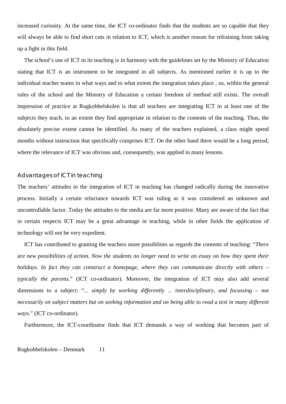increased curiosity. At the same time, the ICT co-ordinator finds that the students are so capable that they will always be able to find short cuts in relation to ICT, which is another reason for refraining from taking up a fight in this field.

The school's use of ICT in its teaching is in harmony with the guidelines set by the Ministry of Education stating that ICT is an instrument to be integrated in all subjects. As mentioned earlier it is up to the individual teacher teams in what ways and to what extent the integration takes place , so, within the general rules of the school and the Ministry of Education a certain freedom of method still exists. The overall impression of practice at Rugkobbelskolen is that all teachers are integrating ICT in at least one of the subjects they teach, to an extent they find appropriate in relation to the contents of the teaching. Thus, the absolutely precise extent cannot be identified. As many of the teachers explained, a class might spend months without instruction that specifically comprises ICT. On the other hand there would be a long period, where the relevance of ICT was obvious and, consequently, was applied in many lessons.

#### Advantages of ICT in teaching

The teachers' attitudes to the integration of ICT in teaching has changed radically during the innovative process. Initially a certain reluctance towards ICT was ruling as it was considered an unknown and uncontrollable factor. Today the attitudes to the media are far more positive. Many are aware of the fact that in certain respects ICT may be a great advantage in teaching, while in other fields the application of technology will not be very expedient.

ICT has contributed to granting the teachers more possiblities as regards the contents of teaching: "*There are new possibilities of action. Now the students no longer need to write an essay on how they spent their holidays. In fact they can construct a homepage, where they can communicate directly with others – typically the parents*." (ICT co-ordinator). Moreover, the integration of ICT may also add several dimensions to a subject: "*... simply by working differently ... interdisciplinary, and focussing – not necessarily on subject matters but on seeking information and on being able to read a text in many different* ways." (ICT co-ordinator).

Furthermore, the ICT-coordinator finds that ICT demands a way of working that becomes part of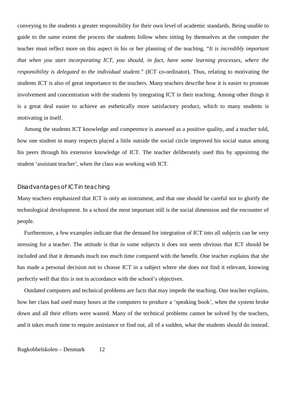conveying to the students a greater responsibility for their own level of academic standards. Being unable to guide to the same extent the process the students follow when sitting by themselves at the computer the teacher must reflect more on this aspect in his or her planning of the teaching. "*It is incredibly important that when you start incorporating ICT, you should, in fact, have some learning processes, where the responsibility is delegated to the individual student.*" (ICT co-ordinator). Thus, relating to motivating the students ICT is also of great importance to the teachers. Many teachers describe how it is easier to promote involvement and concentration with the students by integrating ICT in their teaching. Among other things it is a great deal easier to achieve an esthetically more satisfactory product, which to many students is motivating in itself.

Among the students ICT knowledge and competence is assessed as a positive quality, and a teacher told, how one student in many respects placed a little outside the social circle improved his social status among his peers through his extensive knowledge of ICT. The teacher deliberately used this by appointing the student 'assistant teacher', when the class was working with ICT.

#### Disadvantages of ICT in teaching

Many teachers emphasized that ICT is only an instrument, and that one should be careful not to glorify the technological development. In a school the most important still is the social dimension and the encounter of people.

Furthermore, a few examples indicate that the demand for integration of ICT into all subjects can be very stressing for a teacher. The attitude is that in some subjects it does not seem obvious that ICT should be included and that it demands much too much time compared with the benefit. One teacher explains that she has made a personal decision not to choose ICT in a subject where she does not find it relevant, knowing perfectly well that this is not in accordance with the school's objectives.

Outdated computers and technical problems are facts that may impede the teaching. One teacher explains, how her class had used many hours at the computers to produce a 'speaking book', when the system broke down and all their efforts were wasted. Many of the technical problems cannot be solved by the teachers, and it takes much time to require assistance or find out, all of a sudden, what the students should do instead.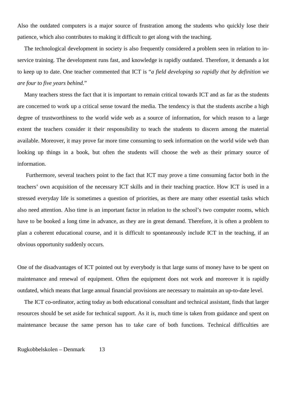Also the outdated computers is a major source of frustration among the students who quickly lose their patience, which also contributes to making it difficult to get along with the teaching.

The technological development in society is also frequently considered a problem seen in relation to inservice training. The development runs fast, and knowledge is rapidly outdated. Therefore, it demands a lot to keep up to date. One teacher commented that ICT is "*a field developing so rapidly that by definition we are four to five years behind*."

Many teachers stress the fact that it is important to remain critical towards ICT and as far as the students are concerned to work up a critical sense toward the media. The tendency is that the students ascribe a high degree of trustworthiness to the world wide web as a source of information, for which reason to a large extent the teachers consider it their responsibility to teach the students to discern among the material available. Moreover, it may prove far more time consuming to seek information on the world wide web than looking up things in a book, but often the students will choose the web as their primary source of information.

 Furthermore, several teachers point to the fact that ICT may prove a time consuming factor both in the teachers' own acquisition of the necessary ICT skills and in their teaching practice. How ICT is used in a stressed everyday life is sometimes a question of priorities, as there are many other essential tasks which also need attention. Also time is an important factor in relation to the school's two computer rooms, which have to be booked a long time in advance, as they are in great demand. Therefore, it is often a problem to plan a coherent educational course, and it is difficult to spontaneously include ICT in the teaching, if an obvious opportunity suddenly occurs.

One of the disadvantages of ICT pointed out by everybody is that large sums of money have to be spent on maintenance and renewal of equipment. Often the equipment does not work and moreover it is rapidly outdated, which means that large annual financial provisions are necessary to maintain an up-to-date level.

The ICT co-ordinator, acting today as both educational consultant and technical assistant, finds that larger resources should be set aside for technical support. As it is, much time is taken from guidance and spent on maintenance because the same person has to take care of both functions. Technical difficulties are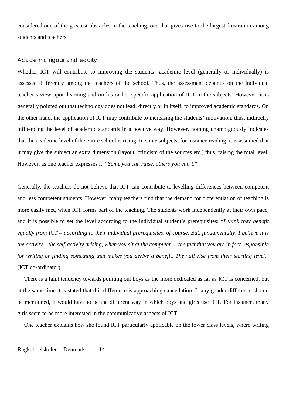considered one of the greatest obstacles in the teaching, one that gives rise to the largest frustration among students and teachers.

### Academic rigour and equity

Whether ICT will contribute to improving the students' academic level (generally or individually) is assessed differently among the teachers of the school. Thus, the assessment depends on the individual teacher's view upon learning and on his or her specific application of ICT in the subjects. However, it is generally pointed out that technology does not lead, directly or in itself, to improved academic standards. On the other hand, the application of ICT may contribute to increasing the students' motivation, thus, indirectly influencing the level of academic standards in a positive way. However, nothing unambiguously indicates that the academic level of the entire school is rising. In some subjects, for instance reading, it is assumed that it may give the subject an extra dimension (layout, criticism of the sources etc.) thus, raising the total level. However, as one teacher expresses it: "*Some you can raise, others you can't*."

Generally, the teachers do not believe that ICT can contribute to levelling differences between competent and less competent students. However, many teachers find that the demand for differentiation of teaching is more easily met, when ICT forms part of the teaching. The students work independently at their own pace, and it is possible to set the level according to the individual student's prerequisites: "*I think they benefit equally from ICT – according to their individual prerequisites, of course. But, fundamentally, I believe it is the activity – the self-activity arising, when you sit at the computer ... the fact that you are in fact responsible for writing or finding something that makes you derive a benefit. They all rise from their starting level.*" (ICT co-ordinator).

There is a faint tendency towards pointing out boys as the more dedicated as far as ICT is concerned, but at the same time it is stated that this difference is approaching cancellation. If any gender difference should be mentioned, it would have to be the different way in which boys and girls use ICT. For instance, many girls seem to be more interested in the communicative aspects of ICT.

One teacher explains how she found ICT particularly applicable on the lower class levels, where writing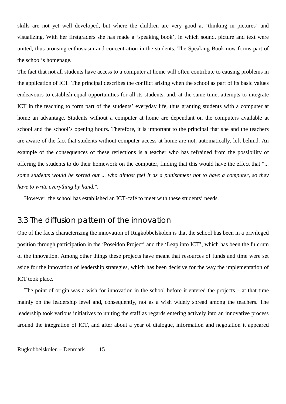skills are not yet well developed, but where the children are very good at 'thinking in pictures' and visualizing. With her firstgraders she has made a 'speaking book', in which sound, picture and text were united, thus arousing enthusiasm and concentration in the students. The Speaking Book now forms part of the school's homepage.

The fact that not all students have access to a computer at home will often contribute to causing problems in the application of ICT. The principal describes the conflict arising when the school as part of its basic values endeavours to establish equal opportunities for all its students, and, at the same time, attempts to integrate ICT in the teaching to form part of the students' everyday life, thus granting students with a computer at home an advantage. Students without a computer at home are dependant on the computers available at school and the school's opening hours. Therefore, it is important to the principal that she and the teachers are aware of the fact that students without computer access at home are not, automatically, left behind. An example of the consequences of these reflections is a teacher who has refrained from the possibility of offering the students to do their homework on the computer, finding that this would have the effect that "*... some students would be sorted out ... who almost feel it as a punishment not to have a computer, so they have to write everything by hand.*".

However, the school has established an ICT-café to meet with these students' needs.

### 3.3 The diffusion pattern of the innovation

One of the facts characterizing the innovation of Rugkobbelskolen is that the school has been in a privileged position through participation in the 'Poseidon Project' and the 'Leap into ICT', which has been the fulcrum of the innovation. Among other things these projects have meant that resources of funds and time were set aside for the innovation of leadership strategies, which has been decisive for the way the implementation of ICT took place.

The point of origin was a wish for innovation in the school before it entered the projects – at that time mainly on the leadership level and, consequently, not as a wish widely spread among the teachers. The leadership took various initiatives to uniting the staff as regards entering actively into an innovative process around the integration of ICT, and after about a year of dialogue, information and negotation it appeared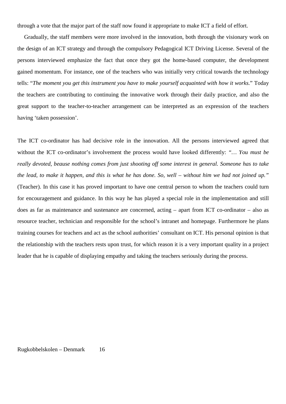through a vote that the major part of the staff now found it appropriate to make ICT a field of effort.

Gradually, the staff members were more involved in the innovation, both through the visionary work on the design of an ICT strategy and through the compulsory Pedagogical ICT Driving License. Several of the persons interviewed emphasize the fact that once they got the home-based computer, the development gained momentum. For instance, one of the teachers who was initially very critical towards the technology tells: "*The moment you get this instrument you have to make yourself acquainted with how it works.*" Today the teachers are contributing to continuing the innovative work through their daily practice, and also the great support to the teacher-to-teacher arrangement can be interpreted as an expression of the teachers having 'taken possession'.

The ICT co-ordinator has had decisive role in the innovation. All the persons interviewed agreed that without the ICT co-ordinator's involvement the process would have looked differently: *"… You must be really devoted, beause nothing comes from just shooting off some interest in general. Someone has to take the lead, to make it happen, and this is what he has done. So, well – without him we had not joined up."* (Teacher). In this case it has proved important to have one central person to whom the teachers could turn for encouragement and guidance. In this way he has played a special role in the implementation and still does as far as maintenance and sustenance are concerned, acting – apart from ICT co-ordinator – also as resource teacher, technician and responsible for the school's intranet and homepage. Furthermore he plans training courses for teachers and act as the school authorities' consultant on ICT. His personal opinion is that the relationship with the teachers rests upon trust, for which reason it is a very important quality in a project leader that he is capable of displaying empathy and taking the teachers seriously during the process.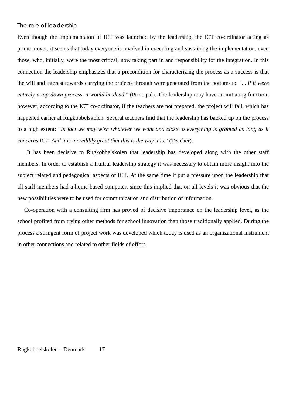### The role of leadership

Even though the implementaton of ICT was launched by the leadership, the ICT co-ordinator acting as prime mover, it seems that today everyone is involved in executing and sustaining the implementation, even those, who, initially, were the most critical, now taking part in and responsibility for the integration. In this connection the leadership emphasizes that a precondition for characterizing the process as a success is that the will and interest towards carrying the projects through were generated from the bottom-up. "... *if it were entirely a top-down process, it would be dead.*" (Principal). The leadership may have an initiating function; however, according to the ICT co-ordinator, if the teachers are not prepared, the project will fall, which has happened earlier at Rugkobbelskolen. Several teachers find that the leadership has backed up on the process to a high extent: "*In fact we may wish whatever we want and close to everything is granted as long as it concerns ICT. And it is incredibly great that this is the way it is.*" (Teacher).

 It has been decisive to Rugkobbelskolen that leadership has developed along with the other staff members. In order to establish a fruitful leadership strategy it was necessary to obtain more insight into the subject related and pedagogical aspects of ICT. At the same time it put a pressure upon the leadership that all staff members had a home-based computer, since this implied that on all levels it was obvious that the new possibilities were to be used for communication and distribution of information.

Co-operation with a consulting firm has proved of decisive importance on the leadership level, as the school profited from trying other methods for school innovation than those traditionally applied. During the process a stringent form of project work was developed which today is used as an organizational instrument in other connections and related to other fields of effort.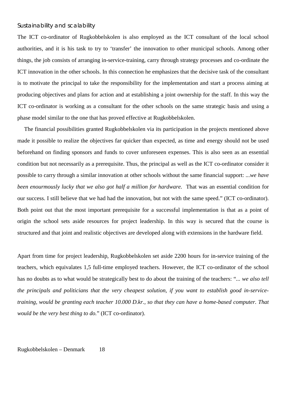### Sustainability and scalability

The ICT co-ordinator of Rugkobbelskolen is also employed as the ICT consultant of the local school authorities, and it is his task to try to 'transfer' the innovation to other municipal schools. Among other things, the job consists of arranging in-service-training, carry through strategy processes and co-ordinate the ICT innovation in the other schools. In this connection he emphasizes that the decisive task of the consultant is to motivate the principal to take the responsibility for the implementation and start a process aiming at producing objectives and plans for action and at establishing a joint ownership for the staff. In this way the ICT co-ordinator is working as a consultant for the other schools on the same strategic basis and using a phase model similar to the one that has proved effective at Rugkobbelskolen.

The financial possibilities granted Rugkobbelskolen via its participation in the projects mentioned above made it possible to realize the objectives far quicker than expected, as time and energy should not be used beforehand on finding sponsors and funds to cover unforeseen expenses. This is also seen as an essential condition but not necessarily as a prerequisite. Thus, the principal as well as the ICT co-ordinator consider it possible to carry through a similar innovation at other schools without the same financial support: ...*we have been enourmously lucky that we also got half a million for hardware.* That was an essential condition for our success. I still believe that we had had the innovation, but not with the same speed." (ICT co-ordinator). Both point out that the most important prerequisite for a successful implementation is that as a point of origin the school sets aside resources for project leadership. In this way is secured that the course is structured and that joint and realistic objectives are developed along with extensions in the hardware field.

Apart from time for project leadership, Rugkobbelskolen set aside 2200 hours for in-service training of the teachers, which equivalates 1,5 full-time employed teachers. However, the ICT co-ordinator of the school has no doubts as to what would be strategically best to do about the training of the teachers: "*... we also tell the principals and politicians that the very cheapest solution, if you want to establish good in-servicetraining, would be granting each teacher 10.000 D.kr., so that they can have a home-based computer. That would be the very best thing to do.*" (ICT co-ordinator).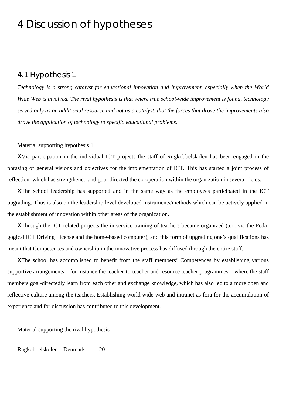## 4 Discussion of hypotheses

### 4.1 Hypothesis 1

*Technology is a strong catalyst for educational innovation and improvement, especially when the World Wide Web is involved. The rival hypothesis is that where true school-wide improvement is found, technology served only as an additional resource and not as a catalyst, that the forces that drove the improvements also drove the application of technology to specific educational problems.*

### Material supporting hypothesis 1

ΧVia participation in the individual ICT projects the staff of Rugkobbelskolen has been engaged in the phrasing of general visions and objectives for the implementation of ICT. This has started a joint process of reflection, which has strengthened and goal-directed the co-operation within the organization in several fields.

ΧThe school leadership has supported and in the same way as the employees participated in the ICT upgrading. Thus is also on the leadership level developed instruments/methods which can be actively applied in the establishment of innovation within other areas of the organization.

ΧThrough the ICT-related projects the in-service training of teachers became organized (a.o. via the Pedagogical ICT Driving License and the home-based computer), and this form of upgrading one's qualifications has meant that Competences and ownership in the innovative process has diffused through the entire staff.

ΧThe school has accomplished to benefit from the staff members' Competences by establishing various supportive arrangements – for instance the teacher-to-teacher and resource teacher programmes – where the staff members goal-directedly learn from each other and exchange knowledge, which has also led to a more open and reflective culture among the teachers. Establishing world wide web and intranet as fora for the accumulation of experience and for discussion has contributed to this development.

Material supporting the rival hypothesis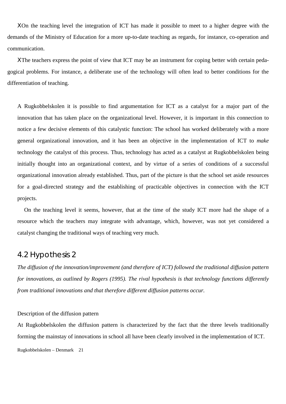ΧOn the teaching level the integration of ICT has made it possible to meet to a higher degree with the demands of the Ministry of Education for a more up-to-date teaching as regards, for instance, co-operation and communication.

ΧThe teachers express the point of view that ICT may be an instrument for coping better with certain pedagogical problems. For instance, a deliberate use of the technology will often lead to better conditions for the differentiation of teaching.

A Rugkobbelskolen it is possible to find argumentation for ICT as a catalyst for a major part of the innovation that has taken place on the organizational level. However, it is important in this connection to notice a few decisive elements of this catalystic function: The school has worked deliberately with a more general organizational innovation, and it has been an objective in the implementation of ICT to *make* technology the catalyst of this process. Thus, technology has acted as a catalyst at Rugkobbelskolen being initially thought into an organizational context, and by virtue of a series of conditions of a successful organizational innovation already established. Thus, part of the picture is that the school set aside resources for a goal-directed strategy and the establishing of practicable objectives in connection with the ICT projects.

On the teaching level it seems, however, that at the time of the study ICT more had the shape of a resource which the teachers may integrate with advantage, which, however, was not yet considered a catalyst changing the traditional ways of teaching very much.

### 4.2 Hypothesis 2

*The diffusion of the innovation/improvement (and therefore of ICT) followed the traditional diffusion pattern for innovations, as outlined by Rogers (1995). The rival hypothesis is that technology functions differently from traditional innovations and that therefore different diffusion patterns occur.*

#### Description of the diffusion pattern

Rugkobbelskolen – Denmark 21 At Rugkobbelskolen the diffusion pattern is characterized by the fact that the three levels traditionally forming the mainstay of innovations in school all have been clearly involved in the implementation of ICT.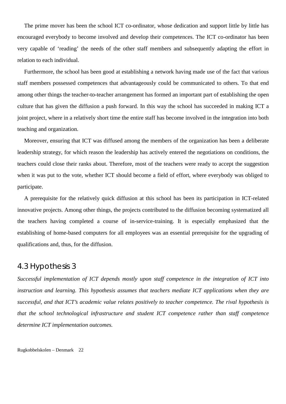The prime mover has been the school ICT co-ordinator, whose dedication and support little by little has encouraged everybody to become involved and develop their competences. The ICT co-ordinator has been very capable of 'reading' the needs of the other staff members and subsequently adapting the effort in relation to each individual.

Furthermore, the school has been good at establishing a network having made use of the fact that various staff members possessed competences that advantageously could be communicated to others. To that end among other things the teacher-to-teacher arrangement has formed an important part of establishing the open culture that has given the diffusion a push forward. In this way the school has succeeded in making ICT a joint project, where in a relatively short time the entire staff has become involved in the integration into both teaching and organization.

Moreover, ensuring that ICT was diffused among the members of the organization has been a deliberate leadership strategy, for which reason the leadership has actively entered the negotiations on conditions, the teachers could close their ranks about. Therefore, most of the teachers were ready to accept the suggestion when it was put to the vote, whether ICT should become a field of effort, where everybody was obliged to participate.

A prerequisite for the relatively quick diffusion at this school has been its participation in ICT-related innovative projects. Among other things, the projects contributed to the diffusion becoming systematized all the teachers having completed a course of in-service-training. It is especially emphasized that the establishing of home-based computers for all employees was an essential prerequisite for the upgrading of qualifications and, thus, for the diffusion.

### 4.3 Hypothesis 3

*Successful implementation of ICT depends mostly upon staff competence in the integration of ICT into instruction and learning. This hypothesis assumes that teachers mediate ICT applications when they are successful, and that ICT's academic value relates positively to teacher competence. The rival hypothesis is that the school technological infrastructure and student ICT competence rather than staff competence determine ICT implementation outcomes.*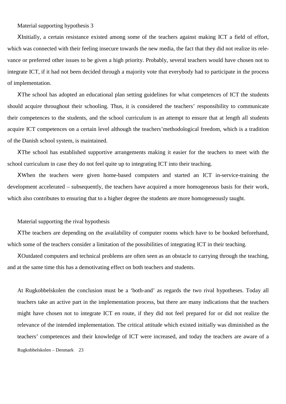Material supporting hypothesis 3

ΧInitially, a certain resistance existed among some of the teachers against making ICT a field of effort, which was connected with their feeling insecure towards the new media, the fact that they did not realize its relevance or preferred other issues to be given a high priority. Probably, several teachers would have chosen not to integrate ICT, if it had not been decided through a majority vote that everybody had to participate in the process of implementation.

ΧThe school has adopted an educational plan setting guidelines for what competences of ICT the students should acquire throughout their schooling. Thus, it is considered the teachers' responsibility to communicate their competences to the students, and the school curriculum is an attempt to ensure that at length all students acquire ICT competences on a certain level although the teachers'methodological freedom, which is a tradition of the Danish school system, is maintained.

ΧThe school has established supportive arrangements making it easier for the teachers to meet with the school curriculum in case they do not feel quite up to integrating ICT into their teaching.

ΧWhen the teachers were given home-based computers and started an ICT in-service-training the development accelerated – subsequently, the teachers have acquired a more homogeneous basis for their work, which also contributes to ensuring that to a higher degree the students are more homogeneously taught.

#### Material supporting the rival hypothesis

ΧThe teachers are depending on the availability of computer rooms which have to be booked beforehand, which some of the teachers consider a limitation of the possibilities of integrating ICT in their teaching.

ΧOutdated computers and technical problems are often seen as an obstacle to carrying through the teaching, and at the same time this has a demotivating effect on both teachers and students.

Rugkobbelskolen – Denmark 23 At Rugkobbelskolen the conclusion must be a 'both-and' as regards the two rival hypotheses. Today all teachers take an active part in the implementation process, but there are many indications that the teachers might have chosen not to integrate ICT en route, if they did not feel prepared for or did not realize the relevance of the intended implementation. The critical attitude which existed initially was diminished as the teachers' competences and their knowledge of ICT were increased, and today the teachers are aware of a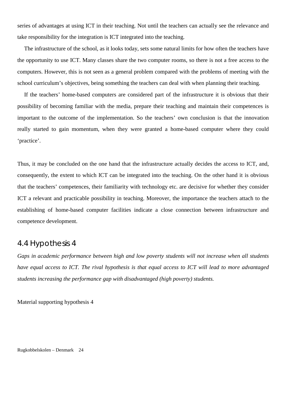series of advantages at using ICT in their teaching. Not until the teachers can actually see the relevance and take responsibility for the integration is ICT integrated into the teaching.

The infrastructure of the school, as it looks today, sets some natural limits for how often the teachers have the opportunity to use ICT. Many classes share the two computer rooms, so there is not a free access to the computers. However, this is not seen as a general problem compared with the problems of meeting with the school curriculum's objectives, being something the teachers can deal with when planning their teaching.

If the teachers' home-based computers are considered part of the infrastructure it is obvious that their possibility of becoming familiar with the media, prepare their teaching and maintain their competences is important to the outcome of the implementation. So the teachers' own conclusion is that the innovation really started to gain momentum, when they were granted a home-based computer where they could 'practice'.

Thus, it may be concluded on the one hand that the infrastructure actually decides the access to ICT, and, consequently, the extent to which ICT can be integrated into the teaching. On the other hand it is obvious that the teachers' competences, their familiarity with technology etc. are decisive for whether they consider ICT a relevant and practicable possibility in teaching. Moreover, the importance the teachers attach to the establishing of home-based computer facilities indicate a close connection between infrastructure and competence development.

### 4.4 Hypothesis 4

*Gaps in academic performance between high and low poverty students will not increase when all students have equal access to ICT. The rival hypothesis is that equal access to ICT will lead to more advantaged students increasing the performance gap with disadvantaged (high poverty) students.*

Material supporting hypothesis 4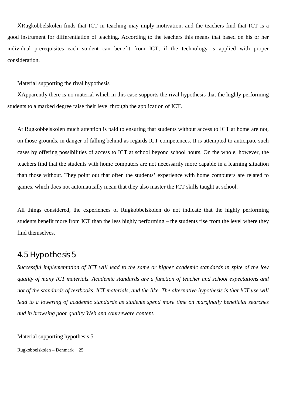ΧRugkobbelskolen finds that ICT in teaching may imply motivation, and the teachers find that ICT is a good instrument for differentiation of teaching. According to the teachers this means that based on his or her individual prerequisites each student can benefit from ICT, if the technology is applied with proper consideration.

Material supporting the rival hypothesis

ΧApparently there is no material which in this case supports the rival hypothesis that the highly performing students to a marked degree raise their level through the application of ICT.

At Rugkobbelskolen much attention is paid to ensuring that students without access to ICT at home are not, on those grounds, in danger of falling behind as regards ICT competences. It is attempted to anticipate such cases by offering possibilities of access to ICT at school beyond school hours. On the whole, however, the teachers find that the students with home computers are not necessarily more capable in a learning situation than those without. They point out that often the students' experience with home computers are related to games, which does not automatically mean that they also master the ICT skills taught at school.

All things considered, the experiences of Rugkobbelskolen do not indicate that the highly performing students benefit more from ICT than the less highly performing – the students rise from the level where they find themselves.

### 4.5 Hypothesis 5

*Successful implementation of ICT will lead to the same or higher academic standards in spite of the low quality of many ICT materials. Academic standards are a function of teacher and school expectations and* not of the standards of textbooks, ICT materials, and the like. The alternative hypothesis is that ICT use will *lead to a lowering of academic standards as students spend more time on marginally beneficial searches and in browsing poor quality Web and courseware content.*

Material supporting hypothesis 5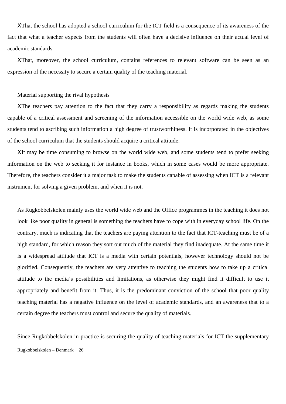ΧThat the school has adopted a school curriculum for the ICT field is a consequence of its awareness of the fact that what a teacher expects from the students will often have a decisive influence on their actual level of academic standards.

ΧThat, moreover, the school curriculum, contains references to relevant software can be seen as an expression of the necessity to secure a certain quality of the teaching material.

#### Material supporting the rival hypothesis

ΧThe teachers pay attention to the fact that they carry a responsibility as regards making the students capable of a critical assessment and screening of the information accessible on the world wide web, as some students tend to ascribing such information a high degree of trustworthiness. It is incorporated in the objectives of the school curriculum that the students should acquire a critical attitude.

ΧIt may be time consuming to browse on the world wide web, and some students tend to prefer seeking information on the web to seeking it for instance in books, which in some cases would be more appropriate. Therefore, the teachers consider it a major task to make the students capable of assessing when ICT is a relevant instrument for solving a given problem, and when it is not.

As Rugkobbelskolen mainly uses the world wide web and the Office programmes in the teaching it does not look like poor quality in general is something the teachers have to cope with in everyday school life. On the contrary, much is indicating that the teachers are paying attention to the fact that ICT-teaching must be of a high standard, for which reason they sort out much of the material they find inadequate. At the same time it is a widespread attitude that ICT is a media with certain potentials, however technology should not be glorified. Consequently, the teachers are very attentive to teaching the students how to take up a critical attitude to the media's possibilities and limitations, as otherwise they might find it difficult to use it appropriately and benefit from it. Thus, it is the predominant conviction of the school that poor quality teaching material has a negative influence on the level of academic standards, and an awareness that to a certain degree the teachers must control and secure the quality of materials.

Rugkobbelskolen – Denmark 26 Since Rugkobbelskolen in practice is securing the quality of teaching materials for ICT the supplementary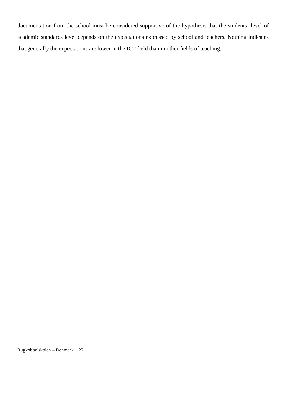documentation from the school must be considered supportive of the hypothesis that the students' level of academic standards level depends on the expectations expressed by school and teachers. Nothing indicates that generally the expectations are lower in the ICT field than in other fields of teaching.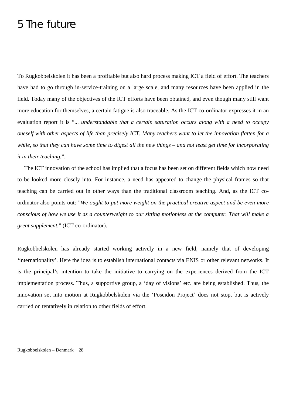## 5 The future

To Rugkobbelskolen it has been a profitable but also hard process making ICT a field of effort. The teachers have had to go through in-service-training on a large scale, and many resources have been applied in the field. Today many of the objectives of the ICT efforts have been obtained, and even though many still want more education for themselves, a certain fatigue is also traceable. As the ICT co-ordinator expresses it in an evaluation report it is "... *understandable that a certain saturation occurs along with a need to occupy oneself with other aspects of life than precisely ICT. Many teachers want to let the innovation flatten for a while, so that they can have some time to digest all the new things – and not least get time for incorporating it in their teaching.*".

The ICT innovation of the school has implied that a focus has been set on different fields which now need to be looked more closely into. For instance, a need has appeared to change the physical frames so that teaching can be carried out in other ways than the traditional classroom teaching. And, as the ICT coordinator also points out: "*We ought to put more weight on the practical-creative aspect and be even more conscious of how we use it as a counterweight to our sitting motionless at the computer. That will make a great supplement.*" (ICT co-ordinator).

Rugkobbelskolen has already started working actively in a new field, namely that of developing 'internationality'. Here the idea is to establish international contacts via ENIS or other relevant networks. It is the principal's intention to take the initiative to carrying on the experiences derived from the ICT implementation process. Thus, a supportive group, a 'day of visions' etc. are being established. Thus, the innovation set into motion at Rugkobbelskolen via the 'Poseidon Project' does not stop, but is actively carried on tentatively in relation to other fields of effort.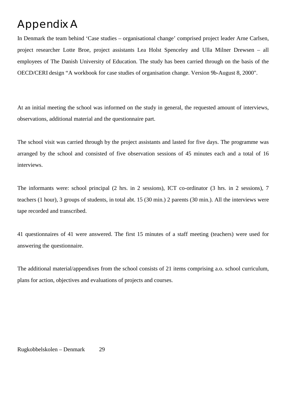## Appendix A

In Denmark the team behind 'Case studies – organisational change' comprised project leader Arne Carlsen, project researcher Lotte Broe, project assistants Lea Holst Spenceley and Ulla Milner Drewsen – all employees of The Danish University of Education. The study has been carried through on the basis of the OECD/CERI design "A workbook for case studies of organisation change. Version 9b-August 8, 2000".

At an initial meeting the school was informed on the study in general, the requested amount of interviews, observations, additional material and the questionnaire part.

The school visit was carried through by the project assistants and lasted for five days. The programme was arranged by the school and consisted of five observation sessions of 45 minutes each and a total of 16 interviews.

The informants were: school principal (2 hrs. in 2 sessions), ICT co-ordinator (3 hrs. in 2 sessions), 7 teachers (1 hour), 3 groups of students, in total abt. 15 (30 min.) 2 parents (30 min.). All the interviews were tape recorded and transcribed.

41 questionnaires of 41 were answered. The first 15 minutes of a staff meeting (teachers) were used for answering the questionnaire.

The additional material/appendixes from the school consists of 21 items comprising a.o. school curriculum, plans for action, objectives and evaluations of projects and courses.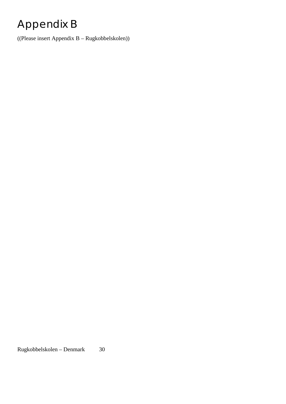# Appendix B

((Please insert Appendix B – Rugkobbelskolen))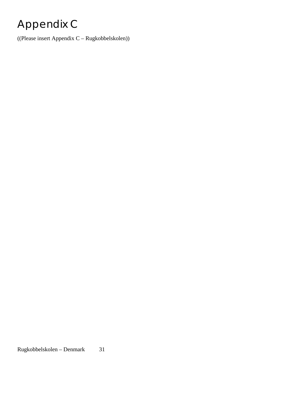# Appendix C

((Please insert Appendix C – Rugkobbelskolen))